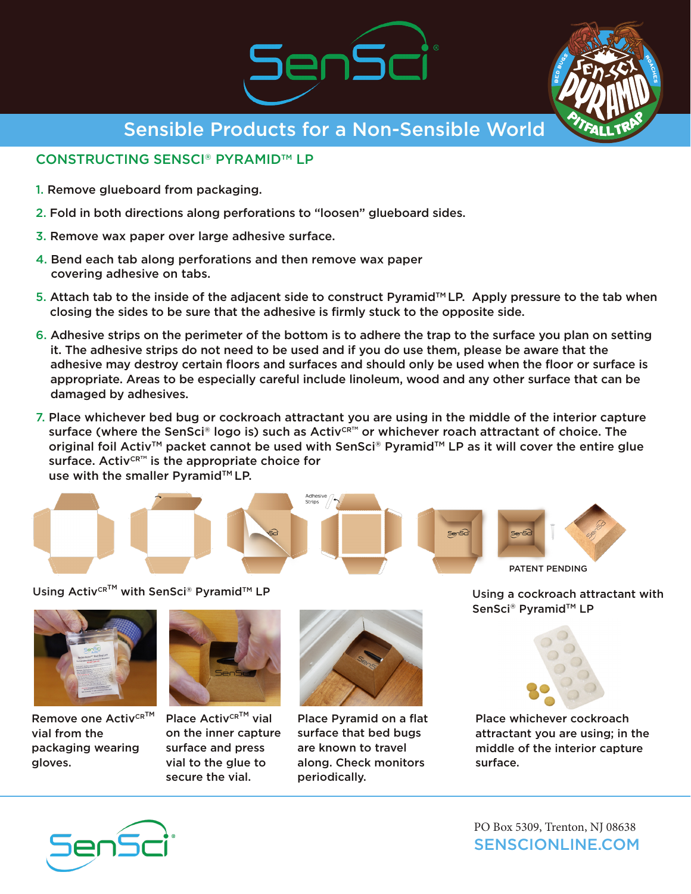



Sensible Products for a Non-Sensible World

## CONSTRUCTING SENSCI® PYRAMID™ LP

- 1. Remove glueboard from packaging.
- 2. Fold in both directions along perforations to "loosen" glueboard sides.
- 3. Remove wax paper over large adhesive surface.
- 4. Bend each tab along perforations and then remove wax paper covering adhesive on tabs.
- 5. Attach tab to the inside of the adjacent side to construct Pyramid<sup> $M$ </sup> LP. Apply pressure to the tab when closing the sides to be sure that the adhesive is firmly stuck to the opposite side.
- 6. Adhesive strips on the perimeter of the bottom is to adhere the trap to the surface you plan on setting it. The adhesive strips do not need to be used and if you do use them, please be aware that the adhesive may destroy certain floors and surfaces and should only be used when the floor or surface is appropriate. Areas to be especially careful include linoleum, wood and any other surface that can be damaged by adhesives.
- 7. Place whichever bed bug or cockroach attractant you are using in the middle of the interior capture surface (where the SenSci® logo is) such as Activ<sup>cR™</sup> or whichever roach attractant of choice. The original foil Activ<sup>™</sup> packet cannot be used with SenSci® Pyramid<sup>™</sup> LP as it will cover the entire glue surface. Activ $CRTM$  is the appropriate choice for use with the smaller Pyramid™ LP.



Using Activ<sup>cR™</sup> with SenSci® Pyramid<sup>™</sup> LP and the Using a cockroach attractant with



Remove one Activ<sup>CR™</sup> vial from the packaging wearing gloves.



Place Activ $CR^{TM}$  vial on the inner capture surface and press vial to the glue to secure the vial.



Place Pyramid on a flat surface that bed bugs are known to travel along. Check monitors periodically.

SenSci<sup>®</sup> Pyramid™ LP



Place whichever cockroach attractant you are using; in the middle of the interior capture surface.



SENSCIONLINE.COM PO Box 5309, Trenton, NJ 08638